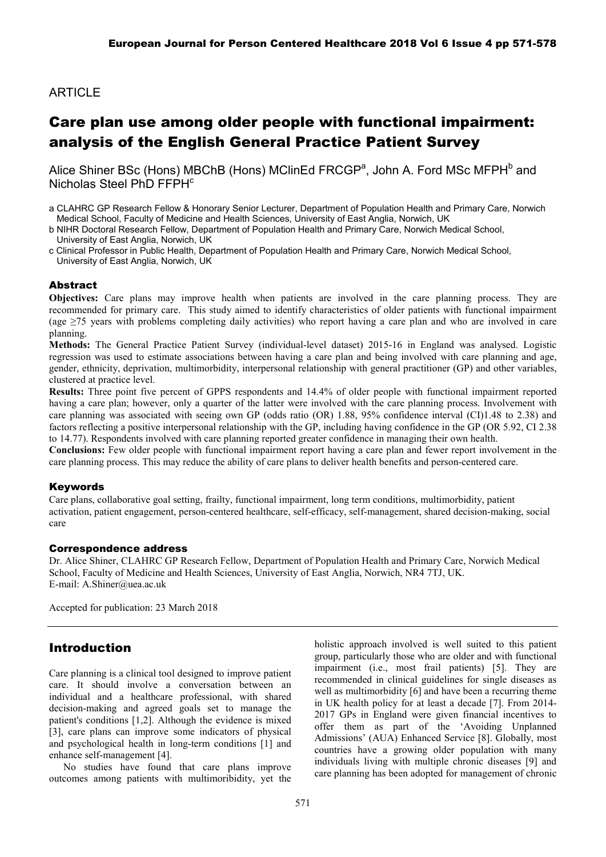## **ARTICLE**

# Care plan use among older people with functional impairment: analysis of the English General Practice Patient Survey

Alice Shiner BSc (Hons) MBChB (Hons) MClinEd FRCGP<sup>a</sup>, John A. Ford MSc MFPH<sup>b</sup> and Nicholas Steel PhD FFPH<sup>c</sup>

a CLAHRC GP Research Fellow & Honorary Senior Lecturer, Department of Population Health and Primary Care, Norwich Medical School, Faculty of Medicine and Health Sciences, University of East Anglia, Norwich, UK

b NIHR Doctoral Research Fellow, Department of Population Health and Primary Care, Norwich Medical School, University of East Anglia, Norwich, UK

c Clinical Professor in Public Health, Department of Population Health and Primary Care, Norwich Medical School, University of East Anglia, Norwich, UK

#### Abstract

**Objectives:** Care plans may improve health when patients are involved in the care planning process. They are recommended for primary care. This study aimed to identify characteristics of older patients with functional impairment (age  $\geq$ 75 years with problems completing daily activities) who report having a care plan and who are involved in care planning.

**Methods:** The General Practice Patient Survey (individual-level dataset) 2015-16 in England was analysed. Logistic regression was used to estimate associations between having a care plan and being involved with care planning and age, gender, ethnicity, deprivation, multimorbidity, interpersonal relationship with general practitioner (GP) and other variables, clustered at practice level.

**Results:** Three point five percent of GPPS respondents and 14.4% of older people with functional impairment reported having a care plan; however, only a quarter of the latter were involved with the care planning process. Involvement with care planning was associated with seeing own GP (odds ratio (OR) 1.88, 95% confidence interval (CI)1.48 to 2.38) and factors reflecting a positive interpersonal relationship with the GP, including having confidence in the GP (OR 5.92, CI 2.38 to 14.77). Respondents involved with care planning reported greater confidence in managing their own health.

**Conclusions:** Few older people with functional impairment report having a care plan and fewer report involvement in the care planning process. This may reduce the ability of care plans to deliver health benefits and person-centered care.

#### Keywords

Care plans, collaborative goal setting, frailty, functional impairment, long term conditions, multimorbidity, patient activation, patient engagement, person-centered healthcare, self-efficacy, self-management, shared decision-making, social care

#### Correspondence address

Dr. Alice Shiner, CLAHRC GP Research Fellow, Department of Population Health and Primary Care, Norwich Medical School, Faculty of Medicine and Health Sciences, University of East Anglia, Norwich, NR4 7TJ, UK. E-mail: A.Shiner@uea.ac.uk

Accepted for publication: 23 March 2018

### Introduction

Care planning is a clinical tool designed to improve patient care. It should involve a conversation between an individual and a healthcare professional, with shared decision-making and agreed goals set to manage the patient's conditions [1,2]. Although the evidence is mixed [3], care plans can improve some indicators of physical and psychological health in long-term conditions [1] and enhance self-management [4].

No studies have found that care plans improve outcomes among patients with multimoribidity, yet the holistic approach involved is well suited to this patient group, particularly those who are older and with functional impairment (i.e., most frail patients) [5]. They are recommended in clinical guidelines for single diseases as well as multimorbidity [6] and have been a recurring theme in UK health policy for at least a decade [7]. From 2014- 2017 GPs in England were given financial incentives to offer them as part of the 'Avoiding Unplanned Admissions' (AUA) Enhanced Service [8]. Globally, most countries have a growing older population with many individuals living with multiple chronic diseases [9] and care planning has been adopted for management of chronic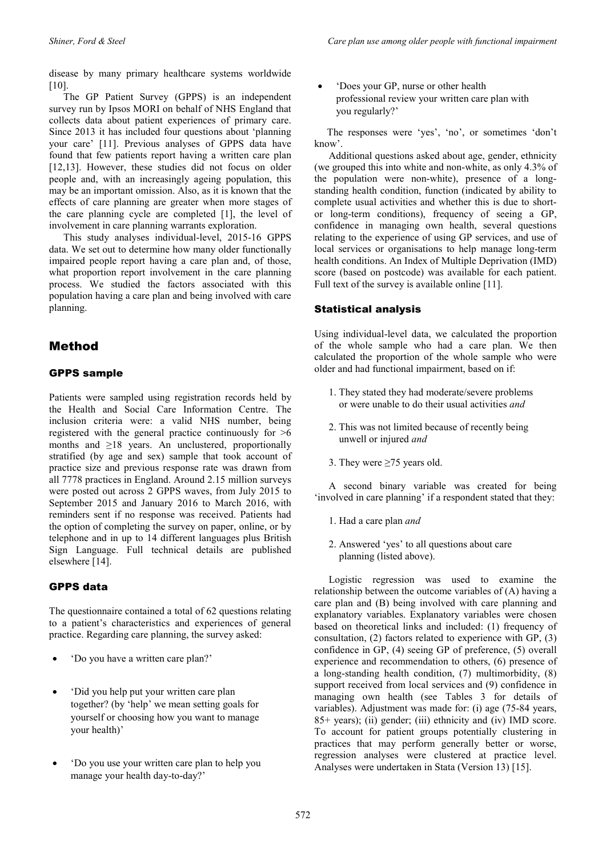disease by many primary healthcare systems worldwide [10].

The GP Patient Survey (GPPS) is an independent survey run by Ipsos MORI on behalf of NHS England that collects data about patient experiences of primary care. Since 2013 it has included four questions about 'planning your care' [11]. Previous analyses of GPPS data have found that few patients report having a written care plan [12,13]. However, these studies did not focus on older people and, with an increasingly ageing population, this may be an important omission. Also, as it is known that the effects of care planning are greater when more stages of the care planning cycle are completed [1], the level of involvement in care planning warrants exploration.

This study analyses individual-level, 2015-16 GPPS data. We set out to determine how many older functionally impaired people report having a care plan and, of those, what proportion report involvement in the care planning process. We studied the factors associated with this population having a care plan and being involved with care planning.

## Method

### GPPS sample

Patients were sampled using registration records held by the Health and Social Care Information Centre. The inclusion criteria were: a valid NHS number, being registered with the general practice continuously for >6 months and  $\geq$ 18 years. An unclustered, proportionally stratified (by age and sex) sample that took account of practice size and previous response rate was drawn from all 7778 practices in England. Around 2.15 million surveys were posted out across 2 GPPS waves, from July 2015 to September 2015 and January 2016 to March 2016, with reminders sent if no response was received. Patients had the option of completing the survey on paper, online, or by telephone and in up to 14 different languages plus British Sign Language. Full technical details are published elsewhere [14].

#### GPPS data

The questionnaire contained a total of 62 questions relating to a patient's characteristics and experiences of general practice. Regarding care planning, the survey asked:

- 'Do you have a written care plan?'
- 'Did you help put your written care plan together? (by 'help' we mean setting goals for yourself or choosing how you want to manage your health)'
- 'Do you use your written care plan to help you manage your health day-to-day?'

• 'Does your GP, nurse or other health professional review your written care plan with you regularly?'

 The responses were 'yes', 'no', or sometimes 'don't know'.

Additional questions asked about age, gender, ethnicity (we grouped this into white and non-white, as only 4.3% of the population were non-white), presence of a longstanding health condition, function (indicated by ability to complete usual activities and whether this is due to shortor long-term conditions), frequency of seeing a GP, confidence in managing own health, several questions relating to the experience of using GP services, and use of local services or organisations to help manage long-term health conditions. An Index of Multiple Deprivation (IMD) score (based on postcode) was available for each patient. Full text of the survey is available online [11].

### Statistical analysis

Using individual-level data, we calculated the proportion of the whole sample who had a care plan. We then calculated the proportion of the whole sample who were older and had functional impairment, based on if:

- 1. They stated they had moderate/severe problems or were unable to do their usual activities *and*
- 2. This was not limited because of recently being unwell or injured *and*
- 3. They were  $\geq$ 75 years old.

A second binary variable was created for being 'involved in care planning' if a respondent stated that they:

- 1. Had a care plan *and*
- 2. Answered 'yes' to all questions about care planning (listed above).

Logistic regression was used to examine the relationship between the outcome variables of (A) having a care plan and (B) being involved with care planning and explanatory variables. Explanatory variables were chosen based on theoretical links and included: (1) frequency of consultation, (2) factors related to experience with GP, (3) confidence in GP, (4) seeing GP of preference, (5) overall experience and recommendation to others, (6) presence of a long-standing health condition, (7) multimorbidity, (8) support received from local services and (9) confidence in managing own health (see Tables 3 for details of variables). Adjustment was made for: (i) age (75-84 years, 85+ years); (ii) gender; (iii) ethnicity and (iv) IMD score. To account for patient groups potentially clustering in practices that may perform generally better or worse, regression analyses were clustered at practice level. Analyses were undertaken in Stata (Version 13) [15].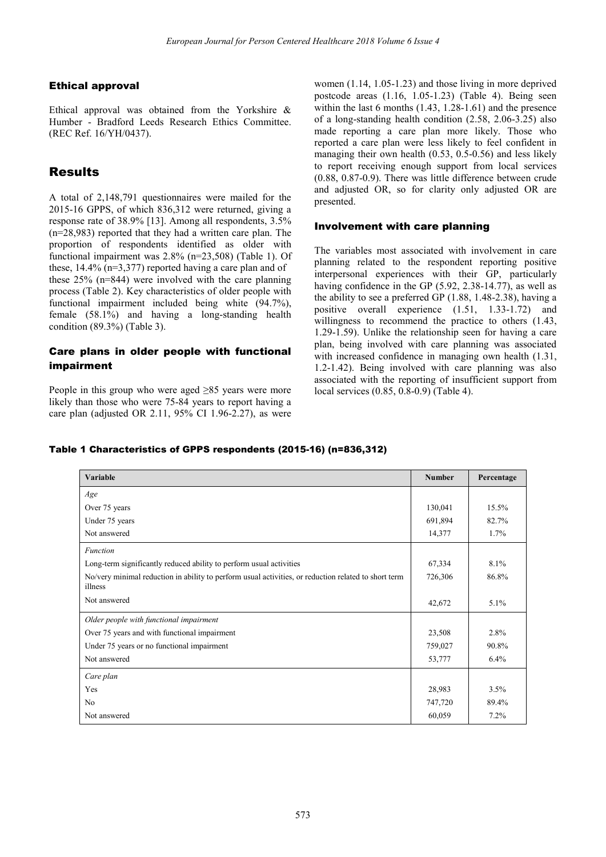#### Ethical approval

Ethical approval was obtained from the Yorkshire & Humber - Bradford Leeds Research Ethics Committee. (REC Ref. 16/YH/0437).

## Results

A total of 2,148,791 questionnaires were mailed for the 2015-16 GPPS, of which 836,312 were returned, giving a response rate of 38.9% [13]. Among all respondents, 3.5% (n=28,983) reported that they had a written care plan. The proportion of respondents identified as older with functional impairment was 2.8% (n=23,508) (Table 1). Of these, 14.4% (n=3,377) reported having a care plan and of these 25% (n=844) were involved with the care planning process (Table 2). Key characteristics of older people with functional impairment included being white (94.7%), female (58.1%) and having a long-standing health condition (89.3%) (Table 3).

### Care plans in older people with functional impairment

People in this group who were aged ≥85 years were more likely than those who were 75-84 years to report having a care plan (adjusted OR 2.11, 95% CI 1.96-2.27), as were

women (1.14, 1.05-1.23) and those living in more deprived postcode areas (1.16, 1.05-1.23) (Table 4). Being seen within the last 6 months  $(1.43, 1.28-1.61)$  and the presence of a long-standing health condition (2.58, 2.06-3.25) also made reporting a care plan more likely. Those who reported a care plan were less likely to feel confident in managing their own health (0.53, 0.5-0.56) and less likely to report receiving enough support from local services (0.88, 0.87-0.9). There was little difference between crude and adjusted OR, so for clarity only adjusted OR are presented.

#### Involvement with care planning

The variables most associated with involvement in care planning related to the respondent reporting positive interpersonal experiences with their GP, particularly having confidence in the GP (5.92, 2.38-14.77), as well as the ability to see a preferred GP (1.88, 1.48-2.38), having a positive overall experience (1.51, 1.33-1.72) and willingness to recommend the practice to others (1.43, 1.29-1.59). Unlike the relationship seen for having a care plan, being involved with care planning was associated with increased confidence in managing own health  $(1.31, 1.1)$ 1.2-1.42). Being involved with care planning was also associated with the reporting of insufficient support from local services (0.85, 0.8-0.9) (Table 4).

#### Table 1 Characteristics of GPPS respondents (2015-16) (n=836,312)

| Variable                                                                                                        | <b>Number</b> | Percentage |
|-----------------------------------------------------------------------------------------------------------------|---------------|------------|
| Age                                                                                                             |               |            |
| Over 75 years                                                                                                   | 130,041       | 15.5%      |
| Under 75 years                                                                                                  | 691,894       | 82.7%      |
| Not answered                                                                                                    | 14,377        | 1.7%       |
| <b>Function</b>                                                                                                 |               |            |
| Long-term significantly reduced ability to perform usual activities                                             | 67,334        | 8.1%       |
| No/very minimal reduction in ability to perform usual activities, or reduction related to short term<br>illness | 726,306       | 86.8%      |
| Not answered                                                                                                    | 42,672        | 5.1%       |
| Older people with functional impairment                                                                         |               |            |
| Over 75 years and with functional impairment                                                                    | 23,508        | 2.8%       |
| Under 75 years or no functional impairment                                                                      | 759,027       | 90.8%      |
| Not answered                                                                                                    | 53,777        | $6.4\%$    |
| Care plan                                                                                                       |               |            |
| Yes                                                                                                             | 28,983        | 3.5%       |
| No                                                                                                              | 747,720       | 89.4%      |
| Not answered                                                                                                    | 60,059        | 7.2%       |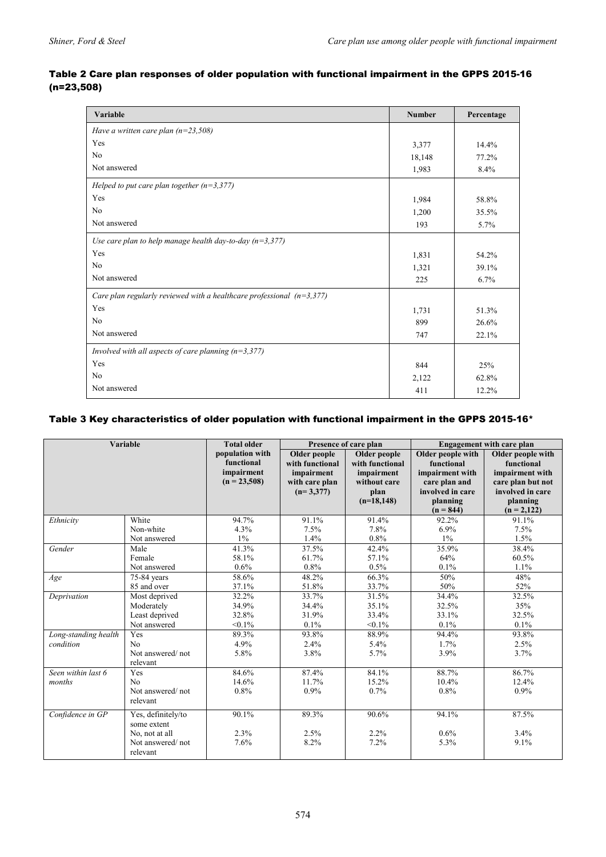### Table 2 Care plan responses of older population with functional impairment in the GPPS 2015-16 (n=23,508)

| Variable                                                                | <b>Number</b> | Percentage |
|-------------------------------------------------------------------------|---------------|------------|
| Have a written care plan $(n=23,508)$                                   |               |            |
| Yes                                                                     | 3,377         | 14.4%      |
| N <sub>0</sub>                                                          | 18,148        | 77.2%      |
| Not answered                                                            | 1,983         | 8.4%       |
| Helped to put care plan together $(n=3,377)$                            |               |            |
| Yes                                                                     | 1,984         | 58.8%      |
| N <sub>0</sub>                                                          | 1,200         | 35.5%      |
| Not answered                                                            | 193           | 5.7%       |
| Use care plan to help manage health day-to-day ( $n=3,377$ )            |               |            |
| Yes                                                                     | 1,831         | 54.2%      |
| N <sub>0</sub>                                                          | 1,321         | 39.1%      |
| Not answered                                                            | 225           | 6.7%       |
| Care plan regularly reviewed with a healthcare professional $(n=3,377)$ |               |            |
| Yes                                                                     | 1,731         | 51.3%      |
| N <sub>0</sub>                                                          | 899           | 26.6%      |
| Not answered                                                            | 747           | 22.1%      |
| Involved with all aspects of care planning $(n=3,377)$                  |               |            |
| Yes                                                                     | 844           | 25%        |
| N <sub>0</sub>                                                          | 2,122         | 62.8%      |
| Not answered                                                            | 411           | 12.2%      |

### Table 3 Key characteristics of older population with functional impairment in the GPPS 2015-16\*

| <b>Variable</b>      |                                   | <b>Total older</b>                                            | Presence of care plan                                                          |                                                                                       | <b>Engagement with care plan</b>                                                                                   |                                                                                                                          |
|----------------------|-----------------------------------|---------------------------------------------------------------|--------------------------------------------------------------------------------|---------------------------------------------------------------------------------------|--------------------------------------------------------------------------------------------------------------------|--------------------------------------------------------------------------------------------------------------------------|
|                      |                                   | population with<br>functional<br>impairment<br>$(n = 23,508)$ | Older people<br>with functional<br>impairment<br>with care plan<br>$(n=3,377)$ | Older people<br>with functional<br>impairment<br>without care<br>plan<br>$(n=18,148)$ | Older people with<br>functional<br>impairment with<br>care plan and<br>involved in care<br>planning<br>$(n = 844)$ | Older people with<br>functional<br>impairment with<br>care plan but not<br>involved in care<br>planning<br>$(n = 2,122)$ |
| Ethnicity            | White                             | 94.7%                                                         | 91.1%                                                                          | 91.4%                                                                                 | 92.2%                                                                                                              | 91.1%                                                                                                                    |
|                      | Non-white                         | 4.3%                                                          | 7.5%                                                                           | 7.8%                                                                                  | 6.9%                                                                                                               | 7.5%                                                                                                                     |
|                      | Not answered                      | $1\%$                                                         | 1.4%                                                                           | $0.8\%$                                                                               | $1\%$                                                                                                              | 1.5%                                                                                                                     |
| Gender               | Male                              | 41.3%                                                         | 37.5%                                                                          | 42.4%                                                                                 | 35.9%                                                                                                              | 38.4%                                                                                                                    |
|                      | Female                            | 58.1%                                                         | 61.7%                                                                          | 57.1%                                                                                 | 64%                                                                                                                | 60.5%                                                                                                                    |
|                      | Not answered                      | 0.6%                                                          | 0.8%                                                                           | 0.5%                                                                                  | 0.1%                                                                                                               | 1.1%                                                                                                                     |
| Age                  | 75-84 years                       | 58.6%                                                         | 48.2%                                                                          | 66.3%                                                                                 | 50%                                                                                                                | 48%                                                                                                                      |
|                      | 85 and over                       | 37.1%                                                         | 51.8%                                                                          | 33.7%                                                                                 | 50%                                                                                                                | 52%                                                                                                                      |
| Deprivation          | Most deprived                     | 32.2%                                                         | 33.7%                                                                          | 31.5%                                                                                 | 34.4%                                                                                                              | 32.5%                                                                                                                    |
|                      | Moderately                        | 34.9%                                                         | 34.4%                                                                          | 35.1%                                                                                 | 32.5%                                                                                                              | 35%                                                                                                                      |
|                      | Least deprived                    | 32.8%                                                         | 31.9%                                                                          | 33.4%                                                                                 | 33.1%                                                                                                              | 32.5%                                                                                                                    |
|                      | Not answered                      | $< 0.1\%$                                                     | 0.1%                                                                           | $< 0.1\%$                                                                             | 0.1%                                                                                                               | 0.1%                                                                                                                     |
| Long-standing health | Yes                               | 89.3%                                                         | 93.8%                                                                          | 88.9%                                                                                 | 94.4%                                                                                                              | 93.8%                                                                                                                    |
| condition            | No                                | 4.9%                                                          | 2.4%                                                                           | 5.4%                                                                                  | 1.7%                                                                                                               | 2.5%                                                                                                                     |
|                      | Not answered/not<br>relevant      | 5.8%                                                          | 3.8%                                                                           | 5.7%                                                                                  | 3.9%                                                                                                               | 3.7%                                                                                                                     |
| Seen within last 6   | Yes                               | 84.6%                                                         | 87.4%                                                                          | 84.1%                                                                                 | 88.7%                                                                                                              | 86.7%                                                                                                                    |
| months               | No                                | 14.6%                                                         | 11.7%                                                                          | 15.2%                                                                                 | 10.4%                                                                                                              | 12.4%                                                                                                                    |
|                      | Not answered/not                  | $0.8\%$                                                       | $0.9\%$                                                                        | 0.7%                                                                                  | 0.8%                                                                                                               | $0.9\%$                                                                                                                  |
|                      | relevant                          |                                                               |                                                                                |                                                                                       |                                                                                                                    |                                                                                                                          |
| Confidence in GP     | Yes, definitely/to<br>some extent | 90.1%                                                         | 89.3%                                                                          | 90.6%                                                                                 | 94.1%                                                                                                              | 87.5%                                                                                                                    |
|                      | No, not at all                    | 2.3%                                                          | 2.5%                                                                           | 2.2%                                                                                  | 0.6%                                                                                                               | 3.4%                                                                                                                     |
|                      | Not answered/not<br>relevant      | 7.6%                                                          | 8.2%                                                                           | 7.2%                                                                                  | 5.3%                                                                                                               | 9.1%                                                                                                                     |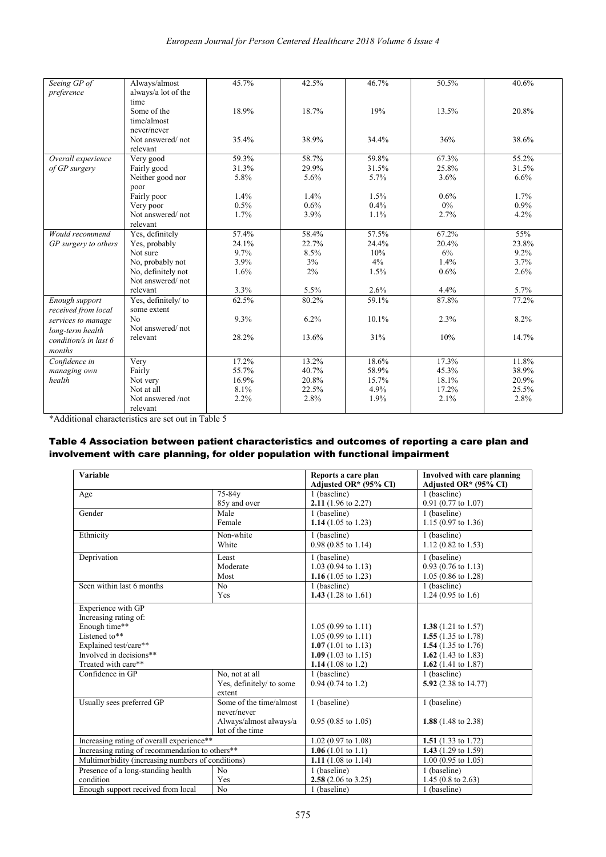| Seeing GP of          | Always/almost       | 45.7% | 42.5% | 46.7% | 50.5% | 40.6%   |
|-----------------------|---------------------|-------|-------|-------|-------|---------|
| preference            | always/a lot of the |       |       |       |       |         |
|                       | time                |       |       |       |       |         |
|                       | Some of the         | 18.9% | 18.7% | 19%   | 13.5% | 20.8%   |
|                       | time/almost         |       |       |       |       |         |
|                       | never/never         |       |       |       |       |         |
|                       | Not answered/not    | 35.4% | 38.9% | 34.4% | 36%   | 38.6%   |
|                       | relevant            |       |       |       |       |         |
| Overall experience    | Very good           | 59.3% | 58.7% | 59.8% | 67.3% | 55.2%   |
| of GP surgery         | Fairly good         | 31.3% | 29.9% | 31.5% | 25.8% | 31.5%   |
|                       | Neither good nor    | 5.8%  | 5.6%  | 5.7%  | 3.6%  | 6.6%    |
|                       | poor                |       |       |       |       |         |
|                       | Fairly poor         | 1.4%  | 1.4%  | 1.5%  | 0.6%  | 1.7%    |
|                       | Very poor           | 0.5%  | 0.6%  | 0.4%  | 0%    | $0.9\%$ |
|                       | Not answered/not    | 1.7%  | 3.9%  | 1.1%  | 2.7%  | 4.2%    |
|                       | relevant            |       |       |       |       |         |
| Would recommend       | Yes, definitely     | 57.4% | 58.4% | 57.5% | 67.2% | 55%     |
| GP surgery to others  | Yes, probably       | 24.1% | 22.7% | 24.4% | 20.4% | 23.8%   |
|                       | Not sure            | 9.7%  | 8.5%  | 10%   | 6%    | 9.2%    |
|                       | No, probably not    | 3.9%  | $3\%$ | 4%    | 1.4%  | 3.7%    |
|                       | No, definitely not  | 1.6%  | 2%    | 1.5%  | 0.6%  | 2.6%    |
|                       | Not answered/not    |       |       |       |       |         |
|                       | relevant            | 3.3%  | 5.5%  | 2.6%  | 4.4%  | 5.7%    |
| Enough support        | Yes, definitely/to  | 62.5% | 80.2% | 59.1% | 87.8% | 77.2%   |
| received from local   | some extent         |       |       |       |       |         |
| services to manage    | N <sub>0</sub>      | 9.3%  | 6.2%  | 10.1% | 2.3%  | 8.2%    |
| long-term health      | Not answered/not    |       |       |       |       |         |
| condition/s in last 6 | relevant            | 28.2% | 13.6% | 31%   | 10%   | 14.7%   |
| months                |                     |       |       |       |       |         |
| Confidence in         | Very                | 17.2% | 13.2% | 18.6% | 17.3% | 11.8%   |
| managing own          | Fairly              | 55.7% | 40.7% | 58.9% | 45.3% | 38.9%   |
| health                | Not very            | 16.9% | 20.8% | 15.7% | 18.1% | 20.9%   |
|                       | Not at all          | 8.1%  | 22.5% | 4.9%  | 17.2% | 25.5%   |
|                       | Not answered /not   | 2.2%  | 2.8%  | 1.9%  | 2.1%  | 2.8%    |
|                       | relevant            |       |       |       |       |         |

\*Additional characteristics are set out in Table 5

### Table 4 Association between patient characteristics and outcomes of reporting a care plan and involvement with care planning, for older population with functional impairment

| <b>Variable</b>                                                                                                                                                              |                                                                                               | Reports a care plan<br>Adjusted OR* (95% CI)                                                                                                                                                                | <b>Involved with care planning</b><br>Adjusted OR* (95% CI)                                                                                                                                                    |
|------------------------------------------------------------------------------------------------------------------------------------------------------------------------------|-----------------------------------------------------------------------------------------------|-------------------------------------------------------------------------------------------------------------------------------------------------------------------------------------------------------------|----------------------------------------------------------------------------------------------------------------------------------------------------------------------------------------------------------------|
| Age                                                                                                                                                                          | 75-84y<br>85y and over                                                                        | 1 (baseline)<br>2.11 $(1.96 \text{ to } 2.27)$                                                                                                                                                              | 1 (baseline)<br>$0.91$ (0.77 to 1.07)                                                                                                                                                                          |
| Gender                                                                                                                                                                       | Male<br>Female                                                                                | 1 (baseline)<br>1.14 $(1.05 \text{ to } 1.23)$                                                                                                                                                              | 1 (baseline)<br>$1.15(0.97 \text{ to } 1.36)$                                                                                                                                                                  |
| Ethnicity                                                                                                                                                                    | Non-white<br>White                                                                            | 1 (baseline)<br>$0.98(0.85 \text{ to } 1.14)$                                                                                                                                                               | 1 (baseline)<br>$1.12$ (0.82 to 1.53)                                                                                                                                                                          |
| Deprivation                                                                                                                                                                  | Least<br>Moderate<br>Most                                                                     | 1 (baseline)<br>$1.03(0.94 \text{ to } 1.13)$<br>1.16 $(1.05 \text{ to } 1.23)$                                                                                                                             | 1 (baseline)<br>$0.93$ (0.76 to 1.13)<br>$1.05(0.86 \text{ to } 1.28)$                                                                                                                                         |
| Seen within last 6 months                                                                                                                                                    | No<br>Yes                                                                                     | 1 (baseline)<br>1.43 $(1.28 \text{ to } 1.61)$                                                                                                                                                              | 1 (baseline)<br>$1.24(0.95 \text{ to } 1.6)$                                                                                                                                                                   |
| Experience with GP<br>Increasing rating of:<br>Enough time**<br>Listened to**<br>Explained test/care**<br>Involved in decisions**<br>Treated with care**<br>Confidence in GP | No, not at all<br>Yes, definitely/ to some                                                    | $1.05(0.99 \text{ to } 1.11)$<br>$1.05(0.99 \text{ to } 1.11)$<br>1.07 $(1.01 \text{ to } 1.13)$<br>1.09 $(1.03 \text{ to } 1.15)$<br>1.14 $(1.08 \text{ to } 1.2)$<br>1 (baseline)<br>$0.94$ (0.74 to 1.2) | 1.38 $(1.21 \text{ to } 1.57)$<br>1.55 $(1.35 \text{ to } 1.78)$<br>1.54 $(1.35 \text{ to } 1.76)$<br>1.62 $(1.43 \text{ to } 1.83)$<br>1.62 $(1.41 \text{ to } 1.87)$<br>1 (baseline)<br>5.92 (2.38 to 14.77) |
| Usually sees preferred GP                                                                                                                                                    | extent<br>Some of the time/almost<br>never/never<br>Always/almost always/a<br>lot of the time | 1 (baseline)<br>$0.95(0.85 \text{ to } 1.05)$                                                                                                                                                               | 1 (baseline)<br>1.88 $(1.48 \text{ to } 2.38)$                                                                                                                                                                 |
| Increasing rating of overall experience**                                                                                                                                    |                                                                                               | $1.02$ (0.97 to 1.08)                                                                                                                                                                                       | 1.51 $(1.33$ to 1.72)                                                                                                                                                                                          |
| Increasing rating of recommendation to others**                                                                                                                              |                                                                                               | 1.06 $(1.01 \text{ to } 1.1)$                                                                                                                                                                               | 1.43 $(1.29 \text{ to } 1.59)$                                                                                                                                                                                 |
| Multimorbidity (increasing numbers of conditions)                                                                                                                            |                                                                                               | 1.11 $(1.08 \text{ to } 1.14)$                                                                                                                                                                              | $1.00$ (0.95 to 1.05)                                                                                                                                                                                          |
| Presence of a long-standing health<br>condition                                                                                                                              | No<br>Yes                                                                                     | 1 (baseline)<br>2.58 $(2.06 \text{ to } 3.25)$                                                                                                                                                              | 1 (baseline)<br>1.45 $(0.8 \text{ to } 2.63)$                                                                                                                                                                  |
| Enough support received from local                                                                                                                                           | No                                                                                            | 1 (baseline)                                                                                                                                                                                                | 1 (baseline)                                                                                                                                                                                                   |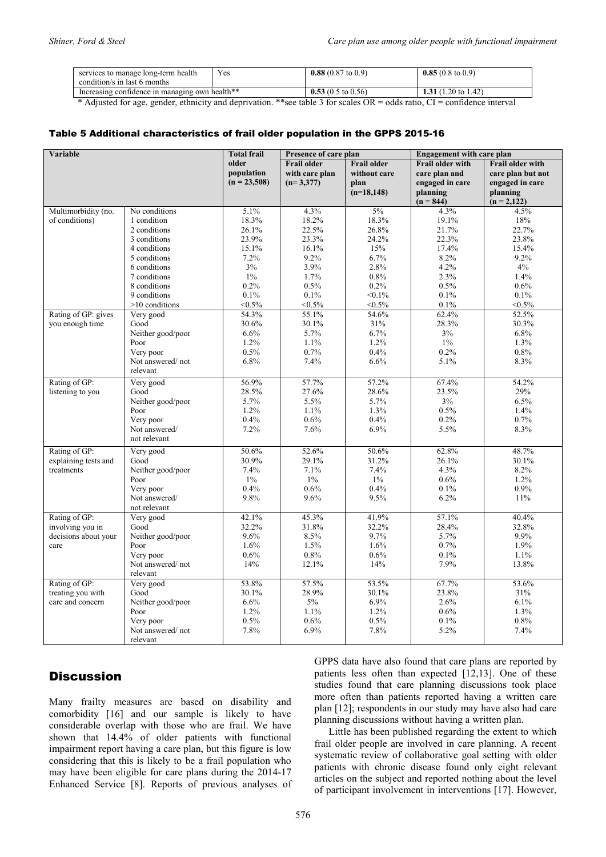| services to manage long-term health            | Yes | 0.88 $(0.87 \text{ to } 0.9)$ | $0.85(0.8 \text{ to } 0.9)$    |
|------------------------------------------------|-----|-------------------------------|--------------------------------|
| condition/s in last 6 months                   |     |                               |                                |
| Increasing confidence in managing own health** |     | 0.53 $(0.5 \text{ to } 0.56)$ | 1.31 $(1.20 \text{ to } 1.42)$ |

\* Adjusted for age, gender, ethnicity and deprivation. \*\*see table 3 for scales OR = odds ratio, CI = confidence interval

#### Table 5 Additional characteristics of frail older population in the GPPS 2015-16

| Variable             |                   | <b>Total frail</b> | Presence of care plan |                    | <b>Engagement with care plan</b> |                         |
|----------------------|-------------------|--------------------|-----------------------|--------------------|----------------------------------|-------------------------|
|                      |                   | older              | <b>Frail older</b>    | <b>Frail older</b> | Frail older with                 | <b>Frail older with</b> |
|                      |                   | population         | with care plan        | without care       | care plan and                    | care plan but not       |
|                      |                   | $(n = 23,508)$     | $(n=3,377)$           | plan               | engaged in care                  | engaged in care         |
|                      |                   |                    |                       | $(n=18, 148)$      | planning                         | planning                |
|                      |                   |                    |                       |                    | $(n = 844)$                      | $(n = 2,122)$           |
| Multimorbidity (no.  | No conditions     | 5.1%               | 4.3%                  | $5\%$              | 4.3%                             | 4.5%                    |
| of conditions)       | 1 condition       | 18.3%              | 18.2%                 | 18.3%              | 19.1%                            | 18%                     |
|                      | 2 conditions      | 26.1%              | 22.5%                 | 26.8%              | 21.7%                            | 22.7%                   |
|                      | 3 conditions      | 23.9%              | 23.3%                 | 24.2%              | 22.3%                            | 23.8%                   |
|                      | 4 conditions      | 15.1%              | 16.1%                 | 15%                | 17.4%                            | 15.4%                   |
|                      | 5 conditions      | 7.2%               | 9.2%                  | 6.7%               | 8.2%                             | 9.2%                    |
|                      | 6 conditions      | 3%                 | 3.9%                  | 2.8%               | 4.2%                             | 4%                      |
|                      | 7 conditions      | $1\%$              | 1.7%                  | 0.8%               | 2.3%                             | 1.4%                    |
|                      | 8 conditions      | 0.2%               | 0.5%                  | $0.2\%$            | 0.5%                             | 0.6%                    |
|                      | 9 conditions      | 0.1%               | 0.1%                  | $< 0.1\%$          | 0.1%                             | 0.1%                    |
|                      | $>10$ conditions  | $< 0.5\%$          | $< 0.5\%$             | $< 0.5\%$          | 0.1%                             | $< 0.5\%$               |
| Rating of GP: gives  | Very good         | 54.3%              | 55.1%                 | 54.6%              | 62.4%                            | 52.5%                   |
| you enough time      | Good              | 30.6%              | 30.1%                 | 31%                | 28.3%                            | 30.3%                   |
|                      | Neither good/poor | 6.6%               | 5.7%                  | 6.7%               | 3%                               | 6.8%                    |
|                      | Poor              | 1.2%               | 1.1%                  | 1.2%               | $1\%$                            | 1.3%                    |
|                      | Very poor         | 0.5%               | 0.7%                  | 0.4%               | 0.2%                             | 0.8%                    |
|                      | Not answered/not  | 6.8%               | 7.4%                  | 6.6%               | 5.1%                             | 8.3%                    |
|                      | relevant          |                    |                       |                    |                                  |                         |
| Rating of GP:        | Very good         | 56.9%              | 57.7%                 | 57.2%              | 67.4%                            | 54.2%                   |
| listening to you     | Good              | 28.5%              | 27.6%                 | 28.6%              | 23.5%                            | 29%                     |
|                      | Neither good/poor | 5.7%               | 5.5%                  | 5.7%               | 3%                               | 6.5%                    |
|                      | Poor              | 1.2%               | 1.1%                  | 1.3%               | 0.5%                             | 1.4%                    |
|                      | Very poor         | 0.4%               | 0.6%                  | 0.4%               | 0.2%                             | 0.7%                    |
|                      | Not answered/     | 7.2%               | 7.6%                  | 6.9%               | 5.5%                             | 8.3%                    |
|                      | not relevant      |                    |                       |                    |                                  |                         |
| Rating of GP:        | Very good         | 50.6%              | 52.6%                 | 50.6%              | 62.8%                            | 48.7%                   |
| explaining tests and | Good              | 30.9%              | 29.1%                 | 31.2%              | 26.1%                            | 30.1%                   |
| treatments           | Neither good/poor | 7.4%               | 7.1%                  | 7.4%               | 4.3%                             | 8.2%                    |
|                      | Poor              | $1\%$              | $1\%$                 | $1\%$              | 0.6%                             | 1.2%                    |
|                      | Very poor         | 0.4%               | 0.6%                  | 0.4%               | 0.1%                             | 0.9%                    |
|                      | Not answered/     | 9.8%               | 9.6%                  | 9.5%               | 6.2%                             | 11%                     |
|                      | not relevant      |                    |                       |                    |                                  |                         |
| Rating of GP:        | Very good         | 42.1%              | 45.3%                 | 41.9%              | 57.1%                            | 40.4%                   |
| involving you in     | Good              | 32.2%              | 31.8%                 | 32.2%              | 28.4%                            | 32.8%                   |
| decisions about your | Neither good/poor | 9.6%               | 8.5%                  | 9.7%               | 5.7%                             | 9.9%                    |
| care                 | Poor              | 1.6%               | 1.5%                  | 1.6%               | 0.7%                             | 1.9%                    |
|                      | Very poor         | 0.6%               | 0.8%                  | 0.6%               | 0.1%                             | 1.1%                    |
|                      | Not answered/not  | 14%                | 12.1%                 | 14%                | 7.9%                             | 13.8%                   |
|                      | relevant          |                    |                       |                    |                                  |                         |
| Rating of GP:        | Very good         | 53.8%              | 57.5%                 | 53.5%              | 67.7%                            | 53.6%                   |
| treating you with    | Good              | 30.1%              | 28.9%                 | 30.1%              | 23.8%                            | 31%                     |
| care and concern     | Neither good/poor | 6.6%               | 5%                    | 6.9%               | 2.6%                             | 6.1%                    |
|                      | Poor              | 1.2%               | 1.1%                  | 1.2%               | 0.6%                             | 1.3%                    |
|                      | Very poor         | 0.5%               | 0.6%                  | 0.5%               | 0.1%                             | 0.8%                    |
|                      | Not answered/not  | 7.8%               | 6.9%                  | 7.8%               | 5.2%                             | 7.4%                    |
|                      | relevant          |                    |                       |                    |                                  |                         |

## **Discussion**

Many frailty measures are based on disability and comorbidity [16] and our sample is likely to have considerable overlap with those who are frail. We have shown that 14.4% of older patients with functional impairment report having a care plan, but this figure is low considering that this is likely to be a frail population who may have been eligible for care plans during the 2014-17 Enhanced Service [8]. Reports of previous analyses of GPPS data have also found that care plans are reported by patients less often than expected [12,13]. One of these studies found that care planning discussions took place more often than patients reported having a written care plan [12]; respondents in our study may have also had care planning discussions without having a written plan.

Little has been published regarding the extent to which frail older people are involved in care planning. A recent systematic review of collaborative goal setting with older patients with chronic disease found only eight relevant articles on the subject and reported nothing about the level of participant involvement in interventions [17]. However,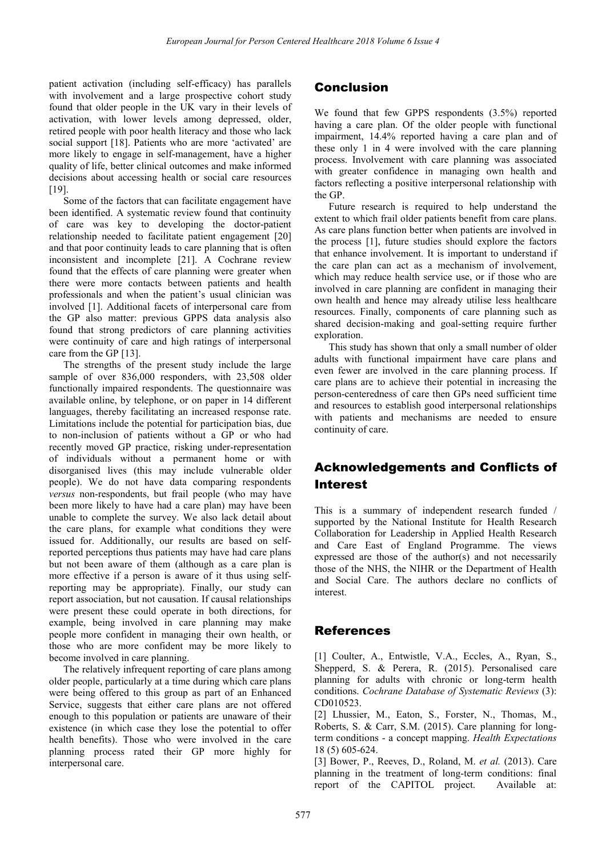patient activation (including self-efficacy) has parallels with involvement and a large prospective cohort study found that older people in the UK vary in their levels of activation, with lower levels among depressed, older, retired people with poor health literacy and those who lack social support [18]. Patients who are more 'activated' are more likely to engage in self-management, have a higher quality of life, better clinical outcomes and make informed decisions about accessing health or social care resources [19].

Some of the factors that can facilitate engagement have been identified. A systematic review found that continuity of care was key to developing the doctor-patient relationship needed to facilitate patient engagement [20] and that poor continuity leads to care planning that is often inconsistent and incomplete [21]. A Cochrane review found that the effects of care planning were greater when there were more contacts between patients and health professionals and when the patient's usual clinician was involved [1]. Additional facets of interpersonal care from the GP also matter: previous GPPS data analysis also found that strong predictors of care planning activities were continuity of care and high ratings of interpersonal care from the GP [13].

The strengths of the present study include the large sample of over 836,000 responders, with 23,508 older functionally impaired respondents. The questionnaire was available online, by telephone, or on paper in 14 different languages, thereby facilitating an increased response rate. Limitations include the potential for participation bias, due to non-inclusion of patients without a GP or who had recently moved GP practice, risking under-representation of individuals without a permanent home or with disorganised lives (this may include vulnerable older people). We do not have data comparing respondents *versus* non-respondents, but frail people (who may have been more likely to have had a care plan) may have been unable to complete the survey. We also lack detail about the care plans, for example what conditions they were issued for. Additionally, our results are based on selfreported perceptions thus patients may have had care plans but not been aware of them (although as a care plan is more effective if a person is aware of it thus using selfreporting may be appropriate). Finally, our study can report association, but not causation. If causal relationships were present these could operate in both directions, for example, being involved in care planning may make people more confident in managing their own health, or those who are more confident may be more likely to become involved in care planning.

The relatively infrequent reporting of care plans among older people, particularly at a time during which care plans were being offered to this group as part of an Enhanced Service, suggests that either care plans are not offered enough to this population or patients are unaware of their existence (in which case they lose the potential to offer health benefits). Those who were involved in the care planning process rated their GP more highly for interpersonal care.

## Conclusion

We found that few GPPS respondents (3.5%) reported having a care plan. Of the older people with functional impairment, 14.4% reported having a care plan and of these only 1 in 4 were involved with the care planning process. Involvement with care planning was associated with greater confidence in managing own health and factors reflecting a positive interpersonal relationship with the GP.

Future research is required to help understand the extent to which frail older patients benefit from care plans. As care plans function better when patients are involved in the process [1], future studies should explore the factors that enhance involvement. It is important to understand if the care plan can act as a mechanism of involvement, which may reduce health service use, or if those who are involved in care planning are confident in managing their own health and hence may already utilise less healthcare resources. Finally, components of care planning such as shared decision-making and goal-setting require further exploration.

This study has shown that only a small number of older adults with functional impairment have care plans and even fewer are involved in the care planning process. If care plans are to achieve their potential in increasing the person-centeredness of care then GPs need sufficient time and resources to establish good interpersonal relationships with patients and mechanisms are needed to ensure continuity of care.

## Acknowledgements and Conflicts of Interest

This is a summary of independent research funded / supported by the National Institute for Health Research Collaboration for Leadership in Applied Health Research and Care East of England Programme. The views expressed are those of the author(s) and not necessarily those of the NHS, the NIHR or the Department of Health and Social Care. The authors declare no conflicts of interest.

## **References**

[1] Coulter, A., Entwistle, V.A., Eccles, A., Ryan, S., Shepperd, S. & Perera, R. (2015). Personalised care planning for adults with chronic or long-term health conditions. *Cochrane Database of Systematic Reviews* (3): CD010523.

[2] Lhussier, M., Eaton, S., Forster, N., Thomas, M., Roberts, S. & Carr, S.M. (2015). Care planning for longterm conditions - a concept mapping. *Health Expectations* 18 (5) 605-624.

[3] Bower, P., Reeves, D., Roland, M. *et al.* (2013). Care planning in the treatment of long-term conditions: final report of the CAPITOL project. Available at: